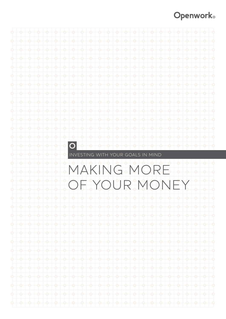# **Openwork**

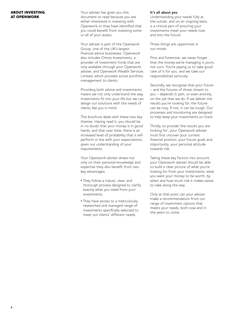# ABOUT INVESTING AT OPENWORK

Your adviser has given you this document to read because you are either interested in investing with Openwork or they have identified that you could benefit from investing some or all of your assets.

Your adviser is part of the Openwork Group, one of the UK's largest financial advice businesses. Openwork also includes Omnis Investments, a provider of investment funds that are only available through your Openwork adviser, and Openwork Wealth Services Limited, which provides active portfolio management to clients.

Providing both advice and investments means we not only understand the way investments fit into your life but we can design our solutions with the needs of clients like you in mind.

This brochure deals with these two key themes. Having read it, you should be in no doubt that your money is in good hands, and that over time, there is an increased level of probability that it will perform in line with your expectations, given our understanding of your requirements.

Your Openwork adviser draws not only on their personal knowledge and expertise they also benefit from two key advantages:

- They follow a robust, clear, and thorough process designed to clarify exactly what you need from your investments;
- They have access to a meticulously researched and managed range of investments specifically selected to meet our clients' different needs.

# **It's all about you**

Understanding your needs fully at the outset, and on an ongoing basis, is a critical part of ensuring your investments meet your needs now and into the future.

Three things are uppermost in our minds:

First and foremost, we never forget that the money we're managing is yours, not ours. You're paying us to take good care of it for you, and we take our responsibilities seriously.

Secondly, we recognise that your future – and the futures of those closest to you – depends in part, or even entirely, on the job that we do. If we deliver the results you're looking for, the future can be rosy. If not, it can be tough. Our processes and monitoring are designed to help keep your investments on track.

Thirdly, to provide 'the results you are looking for', your Openwork adviser must first uncover your current financial position, your future goals and, importantly, your personal attitude towards risk.

Taking these key factors into account, your Openwork adviser should be able to build a clear picture of what you're looking for from your investments: what you want your money to be worth, by when and how much risk it makes sense to take along the way.

Only at that point can your adviser make a recommendation from our range of investment options that meets your needs, both now and in the years to come.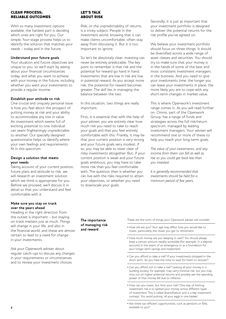# CLEAR PROCESS; RELIABLE OUTCOMES

With so many investment options available, the hardest part is deciding which ones are right for you. Our simple, four-stage process helps us to identify the solution that matches your needs – today and in the future.

# **Understand your future goals**

Your situation and future objectives are unique to you, so we'll start by asking about your financial circumstances today, and what you want to achieve with your money in the future; including whether you want your investments to provide a regular income.

# **Establish your attitude to risk**

One crucial and uniquely personal issue is how you feel about the prospect of putting money at risk and your ability to accommodate any loss in value. An investment which seems full of exciting potential to one individual can seem frighteningly unpredictable to another. Our specially designed questionnaire helps us identify where your own feelings and requirements fit in this spectrum.

# **Design a solution that meets your needs**

Taking account of your current position, future plans and attitude to risk, we will research an investment solution which we think is appropriate for you. Before we proceed, we'll discuss it in detail so that you understand and feel comfortable with it.

## **Make sure you stay on track over the years ahead**

Heading in the right direction from the outset is important – but staying on track matters just as much. Things will change in your life, and also in the financial world, and these are almost certain to lead to a need for change in your investments.

Ask your Openwork adviser about regular catch-ups to discuss any changes in your requirements or circumstances and to review your investment choices.

# LET'S TALK ABOUT RISK

Risk, or the unpredictability of returns, is a tricky subject. People in the investment world, knowing that it can make clients uncomfortable, often stay away from discussing it. But it is too important to ignore.

So let's be absolutely clear: investing can never be entirely predictable. The key point to remember is that risk and the potential for reward go hand in hand. Investments that are low in risk are low in potential reward. As you accept more risk, the potential for reward becomes greater. The skill lies in managing the balance between the two.

In this situation, two things are really important.

First, it is essential that with the help of your adviser, you are entirely clear how much risk you need to take to reach your goals and that you feel entirely comfortable with this. Frankly, it may be that your current position is very strong and your future goals very modest: if so, you may be able to steer clear of risky investments altogether. But, if your current position is weak and your future goals ambitious, you may have to take more risk than you feel comfortable with. The question then is whether you can live with the risks required to attain your objectives, or whether you need to downscale your goals.

Secondly, it is just as important that your investment portfolio is designed to deliver the potential returns for the risk profile you've agreed on.

We believe your investment portfolio should focus on three things. It should be diversified across a wide range of asset classes and securities. You should try to make sure that your money is in the hands of some of the best and most consistent investment managers in the business. And you need to give your investments time: the longer you can leave your investments in place, the more likely you are to cope with any short-term changes in market value.

This is where Openwork's investment range comes in. As you will read further on, Omnis, part of the Openwork Group, has a range of funds and strategies across the full risk/return spectrum, managed by leading investment managers. Your adviser will recommend one or more of these to help you reach your long-term goals.

*The value of your investments, and any income from them can fall as well as rise so you could get back less than you invested.*

*It is generally recommended that investments should be held for a minimum period of five years.*

**The importance of managing risk and reward**

These are the sorts of things your Openwork adviser will consider:

- How old are you? Your age may affect how you would like to invest, particularly the closer you get to retirement.
- How much money are you keeping in cash? You should always keep a certain amount readily accessible (for example, in a deposit account) in the event of an emergency or as a foundation for your longer term savings and investment.
- Can you afford to take a risk? If your investments dropped in the short term, do you have the time to wait for them to recover?
- Can you afford not to take a risk? Leaving all your money in a building society, for example, may carry minimal risk, but you may miss out on higher potential returns and possibly see the spending power of that money fall due to inflation.
- How can you invest, but limit your risk? One way of limiting investment risk is to spread your money across different types of investment. This is called diversification and is a key investment concept. You avoid putting 'all your eggs in one basket'.

• Are there tax-efficient opportunities, such as pensions or ISAs, available to you?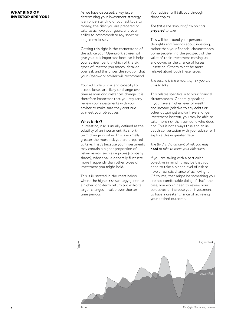# WHAT KIND OF INVESTOR ARE YOU?

As we have discussed, a key issue in determining your investment strategy is an understanding of your attitude to money, the risks you are prepared to take to achieve your goals, and your ability to accommodate any short or long-term losses.

Getting this right is the cornerstone of the advice your Openwork adviser will give you. It is important because it helps your adviser identify which of the six types of investor you match, detailed overleaf, and this drives the solution that your Openwork adviser will recommend.

Your attitude to risk and capacity to accept losses are likely to change over time as your circumstances change. It is therefore important that you regularly review your investments with your adviser to make sure they continue to meet your objectives.

#### **What is risk?**

In investing, risk is usually defined as the volatility of an investment: its shortterm change in value. This is normally greater the more risk you are prepared to take. That's because your investments may contain a higher proportion of riskier assets, such as equities (company shares), whose value generally fluctuate more frequently than other types of investment you might hold.

This is illustrated in the chart below, where the higher risk strategy generates a higher long-term return but exhibits larger changes in value over shorter time periods.

Your adviser will talk you through three topics:

*The first is the amount of risk you are prepared to take.*

This will be around your personal thoughts and feelings about investing, rather than your financial circumstances. Some people find the prospect of the value of their investment moving up and down, or the chance of losses, upsetting. Others might be more relaxed about both these issues.

*The second is the amount of risk you are able to take.*

This relates specifically to your financial circumstances. Generally speaking, if you have a higher level of wealth and income (relative to any debts or other outgoings) and/or have a longer investment horizon, you may be able to take more risk than someone who does not. This is not always true and an indepth conversation with your adviser will explore this in greater detail.

*The third is the amount of risk you may need to take to meet your objectives.*

If you are saving with a particular objective in mind, it may be that you need to take a higher level of risk to have a realistic chance of achieving it. Of course, that might be something you are not comfortable doing. If that's the case, you would need to review your objectives or increase your investment to have a greater chance of achieving your desired outcome.



Time

4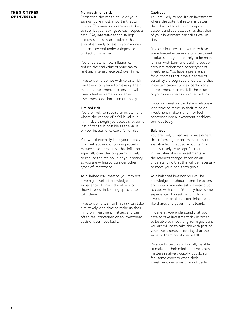# THE SIX TYPES OF INVESTOR

# **No investment risk**

Preserving the capital value of your savings is the most important factor to you. This means you are more likely to restrict your savings to cash deposits, cash ISAs, interest-bearing savings accounts and similar products that also offer ready access to your money and are covered under a depositor protection scheme.

You understand how inflation can reduce the real value of your capital (and any interest received) over time.

Investors who do not wish to take risk can take a long time to make up their mind on investment matters and will usually feel extremely concerned if investment decisions turn out badly.

### **Limited risk**

You are likely to require an investment where the chance of a fall in value is minimal, although you accept that some loss of capital is possible as the value of your investments could fall or rise.

You would normally keep your money in a bank account or building society. However, you recognise that inflation, especially over the long term, is likely to reduce the real value of your money so you are willing to consider other types of investment.

As a limited risk investor, you may not have high levels of knowledge and experience of financial matters, or show interest in keeping up-to-date with them.

Investors who wish to limit risk can take a relatively long time to make up their mind on investment matters and can often feel concerned when investment decisions turn out badly.

#### **Cautious**

You are likely to require an investment where the potential return is better than that available from a deposit account and you accept that the value of your investment can fall as well as rise.

As a cautious investor, you may have some limited experience of investment products, but you are likely to be more familiar with bank and building society accounts rather than other types of investment. You have a preference for outcomes that have a degree of certainty although you understand that in certain circumstances, particularly if investment markets fall, the value of your investments could fall in turn.

Cautious investors can take a relatively long time to make up their mind on investment matters and may feel concerned when investment decisions turn out badly.

#### **Balanced**

You are likely to require an investment that offers higher returns than those available from deposit accounts. You are also likely to accept fluctuation in the value of your investments as the markets change, based on an understanding that this will be necessary to meet your long-term goals.

As a balanced investor, you will be knowledgeable about financial matters, and show some interest in keeping up to date with them. You may have some experience of investment, including investing in products containing assets like shares and government bonds.

In general, you understand that you have to take investment risk in order to be able to meet long-term goals and you are willing to take risk with part of your investments, accepting that the value of them could rise or fall.

Balanced investors will usually be able to make up their minds on investment matters relatively quickly, but do still feel some concern when their investment decisions turn out badly.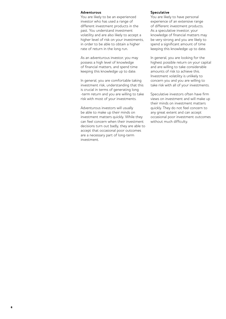#### **Adventurous**

You are likely to be an experienced investor who has used a range of different investment products in the past. You understand investment volatility and are also likely to accept a higher level of risk on your investments, in order to be able to obtain a higher rate of return in the long run.

As an adventurous investor, you may possess a high level of knowledge of financial matters, and spend time keeping this knowledge up to date.

In general, you are comfortable taking investment risk, understanding that this is crucial in terms of generating long -term return and you are willing to take risk with most of your investments.

Adventurous investors will usually be able to make up their minds on investment matters quickly. While they can feel concern when their investment decisions turn out badly, they are able to accept that occasional poor outcomes are a necessary part of long-term investment.

6

#### **Speculative**

You are likely to have personal experience of an extensive range of different investment products. As a speculative investor, your knowledge of financial matters may be very strong and you are likely to spend a significant amount of time keeping this knowledge up to date.

In general, you are looking for the highest possible return on your capital and are willing to take considerable amounts of risk to achieve this. Investment volatility is unlikely to concern you and you are willing to take risk with all of your investments.

Speculative investors often have firm views on investment and will make up their minds on investment matters quickly. They do not feel concern to any great extent and can accept occasional poor investment outcomes without much difficulty.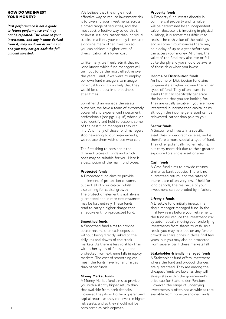# HOW DO WE INVEST YOUR MONEY?

*Past performance is not a guide to future performance and may not be repeated. The value of your investment, and any income derived from it, may go down as well as up and you may not get back the full amount invested.*

We believe that the single most effective way to reduce investment risk is to diversify your investments across a broad range of securities, and the most cost-effective way to do this is to invest in funds, rather than individual stocks. In a fund, your money is invested alongside many other investors so you can achieve a higher level of diversification at a lower cost.

Unlike many, we freely admit that no -one knows which fund managers will turn out to be the most effective over the years – and, if we were to employ our own fund managers to manage individual funds, it's unlikely that they would be the best in the business at all times.

So rather than manage the assets ourselves, we have a team of extremely powerful and experienced investment professionals (see pgs 14-16) whose job is to identify and hold to account some of the best fund managers they can find. And if any of those fund managers stop delivering to our requirements, we replace them with those who can.

The first thing to consider is the different types of funds and which ones may be suitable for you. Here is a description of the main fund types:

# **Protected funds**

A Protected fund aims to provide an element of protection to some, but not all of your capital, whilst also aiming for capital growth. The protection element is not always guaranteed and in rare circumstances may be lost entirely. These funds tend to carry a higher charge than an equivalent non-protected fund.

# **Smoothed funds**

A Smoothed fund aims to provide better returns than cash deposits, without being directly linked to the daily ups and downs of the stock markets. As there is less volatility than with other types of funds, you are protected from extreme falls in equity markets. The cost of smoothing can mean the funds have higher charges than other funds.

## **Money Market funds**

A Money Market fund aims to provide you with a slightly higher return than that available from bank deposits. However, they do not offer a guaranteed capital return, as they can invest in higher risk assets, and so they should not be considered as cash deposits.

## **Property funds**

A Property fund invests directly in commercial property and its value will be determined by an independent valuer. Because it is investing in physical buildings, it is sometimes difficult to realise the cash value of the holdings and in some circumstances there may be a delay of up to a year before you can access your money. At times, the value of the fund may also rise or fall quite sharply and you should be aware of these risks when you invest.

## **Income or Distribution funds**

An Income or Distribution fund aims to generate a higher income than other types of fund. They often invest in assets that can specifically generate the income that you are looking for. They are usually suitable if you are more interested in income than capital gains, although the income generated can be reinvested, rather than paid to you.

# **Sector funds**

A Sector fund invests in a specific asset class or geographical area, and is therefore a more specialist type of fund. They offer potentially higher returns, but carry more risk due to their greater exposure to a single asset or area.

## **Cash funds**

A Cash fund aims to provide returns similar to bank deposits. There is no guaranteed return, and the rates of interest are often very low. If held for long periods, the real value of your investment can be eroded by inflation.

## **Lifestyle funds**

A Lifestyle fund initially invests in a single manager managed fund. In the final few years before your retirement, the fund will reduce the investment risk by automatically moving your underlying investments from shares to cash. As a result, you may miss out on any further growth in share prices in those final few years, but you may also be protected from severe loss if these markets fall.

## **Stakeholder-friendly managed funds**

A Stakeholder fund offers investment where the fund and product charges are guaranteed. They are among the cheapest funds available, as they will always stay within the government's price cap for Stakeholder Pensions. However, the range of underlying investments is often not as wide as that available from non-stakeholder funds.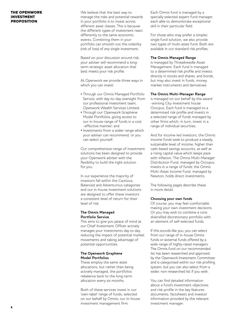# THE OPENWORK INVESTMENT **PROPOSITION**

We believe that the best way to manage the risks and potential rewards in your portfolio is to invest across different asset classes. This is because the different types of investment react differently to the same economic events. Combining them in your portfolio can smooth out the volatility (risk of loss) of any single investment.

Based on your discussion around risk, your adviser will recommend a longterm strategic asset allocation that best meets your risk profile.

At Openwork we provide three ways in which you can invest:

- Through our Omnis Managed Portfolio Service, with day-to-day oversight from our professional investment team, Openwork Wealth Services Limited;
- Through our Openwork Graphene Model Portfolios, giving access to our in-house range of funds in a cost -effective manner; and
- Investments from a wider range which your adviser can recommend, or you can select yourself.

Our comprehensive range of investment solutions has been designed to provide your Openwork adviser with the flexibility to build the right solution for you.

In our experience the majority of investors fall within the Cautious, Balanced and Adventurous categories and our in-house investment solutions are designed to offer these investors a consistent level of return for their level of risk.

# **The Omnis Managed Portfolio Service**

This aims to give you peace of mind as our Chief Investment Officer actively manages your investments day to day, reducing the impact of potential market movements and taking advantage of potential opportunities.

# **The Openwork Graphene Model Portfolios**

These employ the same asset allocations, but rather than being actively managed, the portfolios rebalance back to the long-term allocation every six months.

Both of these services invest in our 'own-label' range of funds, selected on our behalf by Omnis, our in-house investment management firm.

Each Omnis fund is managed by a specially selected expert fund manager, each able to demonstrate exceptional skill in their particular field.

For those who may prefer a simpler, single fund solution, we also provide two types of multi-asset fund. Both are available in our standard risk profiles.

# **The Omnis Managed Range**

is managed by Threadneedle Asset Management. Each fund is managed to a determined risk profile and invests directly in stocks and shares, and bonds, but may also invest in funds, money market instruments and derivatives.

# **The Omnis Multi-Manager Range**

is managed on our behalf by the award -winning City investment house Octopus. Each fund is managed to a determined risk profile and invests in a selected range of funds managed by other firms which, in turn, invest in a range of individual securities.

And for income-led investors, the Omnis income funds seek to produce a steady, sustainable level of income, higher than cash-based savings accounts, as well as a rising capital value which keeps pace with inflation. The Omnis Multi-Manager Distribution Fund, managed by Octopus, invests in a range of funds; the Omnis Multi-Asset Income Fund, managed by Newton, holds direct investments.

The following pages describe these in more detail.

# **Choosing your own funds**

Of course, you may feel comfortable making your own investment decisions. Or you may wish to combine a core diversified discretionary portfolio with an element of self-selected funds.

If this sounds like you, you can select from our range of in-house Omnis funds or external funds offered by a wide range of highly-rated managers. The Omnis fund on our recommended list has been researched and approved by the Openwork Investment Committee and is categorised within our risk-profiling system, but you can also select from a wider, non-researched list if you wish.

You can find detailed information about a fund's investment objectives and risk profile in the key features documents, factsheets and investor information provided by the relevant investment manager.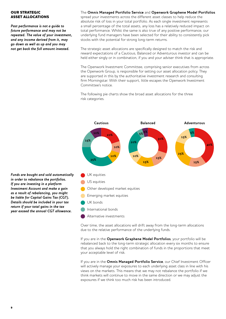# OUR STRATEGIC ASSET ALLOCATIONS

*Past performance is not a guide to future performance and may not be repeated. The value of your investment, and any income derived from it, may go down as well as up and you may not get back the full amount invested.*

The **Omnis Managed Portfolio Service** and **Openwork Graphene Model Portfolios** spread your investments across the different asset classes to help reduce the absolute risk of loss in your total portfolio. As each single investment represents a small percentage of the total assets, any loss has a relatively reduced impact on total performance. Whilst the same is also true of any positive performance, our underlying fund managers have been selected for their ability to consistently pick stocks with the potential for strong long-term returns.

The strategic asset allocations are specifically designed to match the risk and reward expectations of a Cautious, Balanced or Adventurous investor and can be held either singly or in combination, if you and your adviser think that is appropriate.

The Openwork Investment Committee, comprising senior executives from across the Openwork Group, is responsible for setting our asset allocation policy. They are supported in this by the authoritative investment research and consulting firm Morningstar. With their support, little escapes the Openwork Investment Committee's notice.

The following pie charts show the broad asset allocations for the three risk categories.



*as a result of rebalancing, you might be liable for Capital Gains Tax (CGT). Details should be included in your tax return if your total gains in the tax year exceed the annual CGT allowance.*

*Funds are bought and sold automatically in order to rebalance the portfolios. If you are investing in a platform Investment Account and make a gain* 

> If you are in the **Openwork Graphene Model Portfolios**, your portfolio will be rebalanced back to the long-term strategic allocation every six months to ensure that you always hold the right combination of funds in the proportions that meet your acceptable level of risk.

> If you are in the **Omnis Managed Portfolio Service**, our Chief Investment Officer will actively manage your exposures to each underlying asset class in line with his views on the markets. This means that we may not rebalance the portfolio if we think markets will continue to move in the same direction or we may adjust the exposures if we think too much risk has been introduced.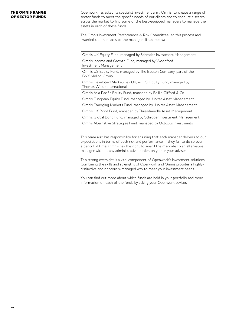# THE OMNIS RANGE OF SECTOR FUNDS

Openwork has asked its specialist investment arm, Omnis, to create a range of sector funds to meet the specific needs of our clients and to conduct a search across the market to find some of the best-equipped managers to manage the assets in each of these funds.

The Omnis Investment Performance & Risk Committee led this process and awarded the mandates to the managers listed below:

Omnis UK Equity Fund, managed by Schroder Investment Management

Omnis Income and Growth Fund, managed by Woodford Investment Management

Omnis US Equity Fund, managed by The Boston Company, part of the BNY Mellon Group

Omnis Developed Markets (ex UK, ex US) Equity Fund, managed by Thomas White International

Omnis Asia Pacific Equity Fund, managed by Baillie Gifford & Co

Omnis European Equity Fund, managed by Jupiter Asset Management

Omnis Emerging Markets Fund, managed by Jupiter Asset Management

Omnis UK Bond Fund, managed by Threadneedle Asset Management

Omnis Global Bond Fund, managed by Schroder Investment Management

Omnis Alternative Strategies Fund, managed by Octopus Investments

This team also has responsibility for ensuring that each manager delivers to our expectations in terms of both risk and performance. If they fail to do so over a period of time, Omnis has the right to award the mandate to an alternative manager without any administrative burden on you or your adviser.

This strong oversight is a vital component of Openwork's investment solutions. Combining the skills and strengths of Openwork and Omnis provides a highlydistinctive and rigorously-managed way to meet your investment needs.

You can find out more about which funds are held in your portfolio and more information on each of the funds by asking your Openwork adviser.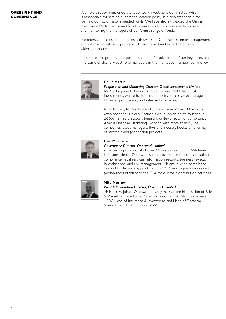# OVERSIGHT AND GOVERNANCE

We have already mentioned the Openwork Investment Committee, which is responsible for setting our asset allocation policy. It is also responsible for forming our list of recommended funds. We have also introduced the Omnis Investment Performance and Risk Committee which is responsible for selecting and monitoring the managers of our Omnis range of funds.

Membership of these committees is drawn from Openwork's senior management and external investment professionals, whose skill and expertise provide wider perspectives.

In essence, the group's principal job is to take full advantage of our key belief, and find some of the very best fund managers in the market to manage your money.



# **Philip Martin**

*Proposition and Marketing Director, Omnis Investments Limited* Mr Martin joined Openwork in September 2011 from F&C Investments, where he had responsibility for the asset manager's UK retail proposition, and sales and marketing.

Prior to that, Mr Martin was Business Development Director at wrap provider Nucleus Financial Group, which he co-founded in 2006. He had previously been a founder-director of consultancy Abacus Financial Marketing, working with more than 65 life companies, asset managers, IFAs and industry bodies on a variety of strategic and proposition projects.



# **Paul Mitchener**

## *Governance Director, Openwork Limited*

An industry professional of over 30 years standing, Mr Mitchener is responsible for Openwork's core governance functions including compliance, legal services, information security, business reviews, investigations, and risk management. His group-wide compliance oversight role, since appointment in 2010, encompasses approved person accountability to the FCA for our main distribution activities.



# **Mike Morrow**

## *Wealth Proposition Director, Openwork Limited*

Mr Morrow joined Openwork in July 2015, from his position of Sales & Marketing Director at Ascentric. Prior to that Mr Morrow was HSBC Head of Insurance & Investment and Head of Platform & Investment Distribution at AXA,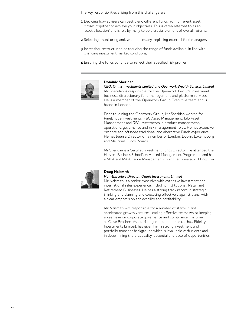The key responsibilities arising from this challenge are:

- **1** Deciding how advisers can best blend different funds from different asset classes together to achieve your objectives. This is often referred to as an 'asset allocation' and is felt by many to be a crucial element of overall returns;
- **2** Selecting, monitoring and, when necessary, replacing external fund managers;
- **3** Increasing, restructuring or reducing the range of funds available, in line with changing investment market conditions;
- **4** Ensuring the funds continue to reflect their specified risk profiles.



### **Dominic Sheridan**

*CEO, Omnis Investments Limited and Openwork Wealth Services Limited* Mr Sheridan is responsible for the Openwork Group's investment business, discretionary fund management and platform services. He is a member of the Openwork Group Executive team and is based in London.

Prior to joining the Openwork Group, Mr Sheridan worked for PineBridge Investments, F&C Asset Management, ISIS Asset Management and RSA Investments in product management, operations, governance and risk management roles. He has extensive onshore and offshore traditional and alternative Funds experience. He has been a Director on a number of London, Dublin, Luxembourg and Mauritius Funds Boards.

Mr Sheridan is a Certified Investment Funds Director. He attended the Harvard Business School's Advanced Management Programme and has a MBA and MA (Change Management) from the University of Brighton.



#### **Doug Naismith**

#### *Non-Executive Director, Omnis Investments Limited*

Mr Naismith is a senior executive with extensive investment and international sales experience, including Institutional, Retail and Retirement Businesses. He has a strong track record in strategic thinking and planning and executing effectively against plans, with a clear emphasis on achievability and profitability.

Mr Naismith was responsible for a number of start-up and accelerated growth ventures, leading effective teams whilst keeping a keen eye on corporate governance and compliance. His time at Close Brothers Asset Management and, prior to that, Fidelity Investments Limited, has given him a strong investment and portfolio manager background which is invaluable with clients and in determining the practicality, potential and pace of opportunities.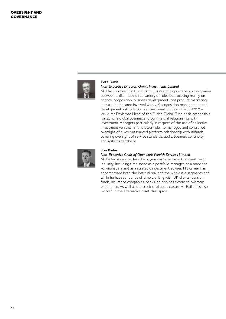

# **Pete Davis**

#### *Non-Executive Director, Omnis Investments Limited*

Mr Davis worked for the Zurich Group and its predecessor companies between 1981 – 2014 in a variety of roles but focusing mainly on finance, proposition, business development, and product marketing. In 2002 he became involved with UK proposition management and development with a focus on investment funds and from 2010 – 2014 Mr Davis was Head of the Zurich Global Fund desk, responsible for Zurich's global business and commercial relationships with Investment Managers particularly in respect of the use of collective investment vehicles. In this latter role, he managed and controlled oversight of a key outsourced platform relationship with Allfunds covering oversight of service standards, audit, business continuity, and systems capability.



#### **Jon Bailie**

#### *Non-Executive Chair of Openwork Wealth Services Limited*

Mr Bailie has more than thirty years experience in the investment industry, including time spent as a portfolio manager, as a manager -of-managers and as a strategic investment adviser. His career has encompassed both the institutional and the wholesale segments and while he has spent a lot of time working with UK clients (pension funds, insurance companies, banks) he also has extensive overseas experience. As well as the traditional asset classes Mr Bailie has also worked in the alternative asset class space.